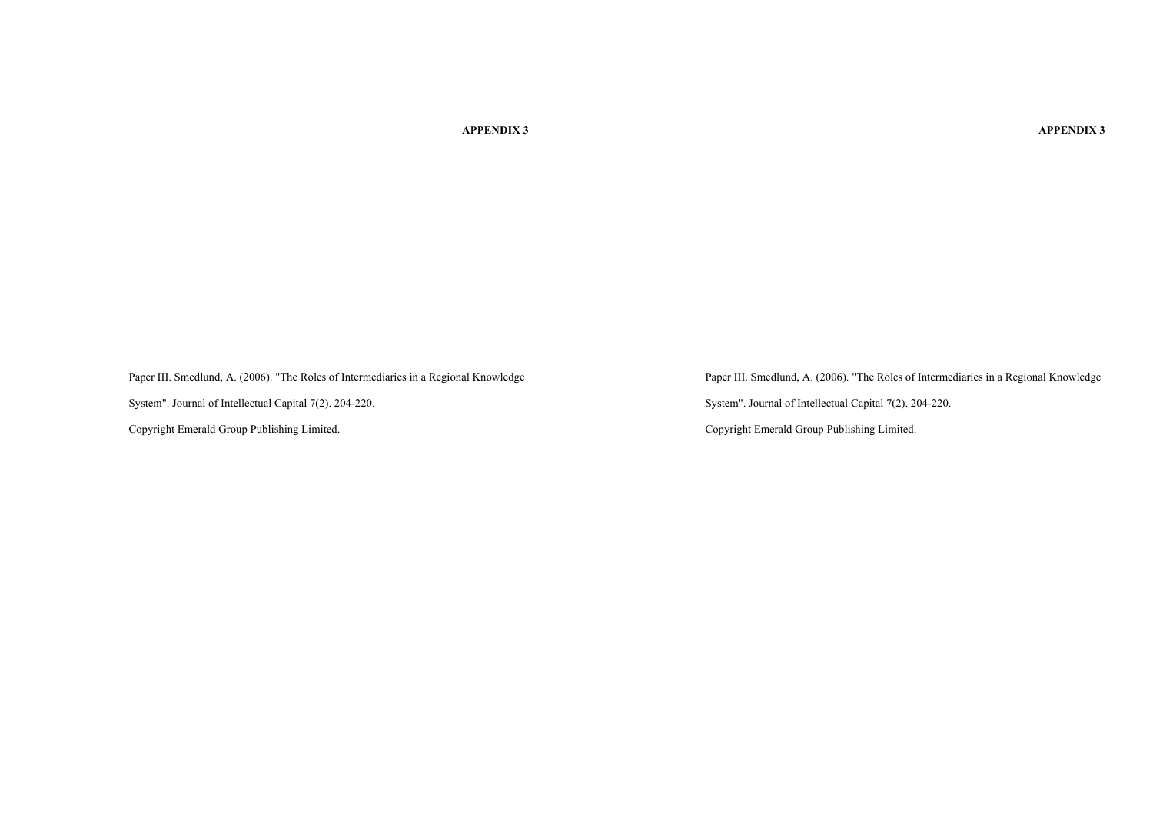# **APPENDIX 3**

Paper III. Smedlund, A. (2006). "The Roles of Intermediaries in a Regional Knowledge System". Journal of Intellectual Capital 7(2). 204-220. Copyright Emerald Group Publishing Limited.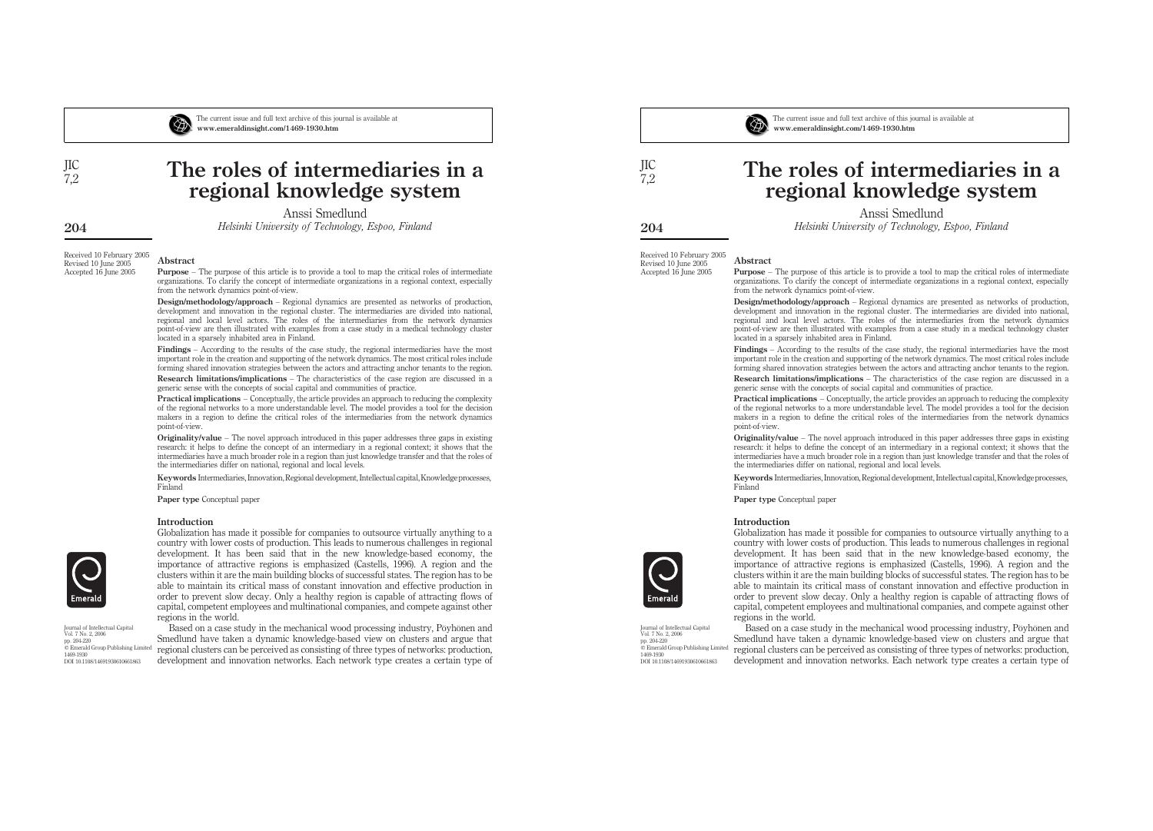

The current issue and full text archive of this journal is available at www.emeraldinsight.com/1469-1930.htm

# JIC 7,2

# 204

Received 10 February 2005 Revised 10 June 2005 Accepted 16 June 2005

#### Abstract

Purpose – The purpose of this article is to provide a tool to map the critical roles of intermediate organizations. To clarify the concept of intermediate organizations in a regional context, especially from the network dynamics point-of-view.

The roles of intermediaries in a regional knowledge system Anssi Smedlund Helsinki University of Technology, Espoo, Finland

Design/methodology/approach – Regional dynamics are presented as networks of production, development and innovation in the regional cluster. The intermediaries are divided into national, regional and local level actors. The roles of the intermediaries from the network dynamics point-of-view are then illustrated with examples from a case study in a medical technology cluster located in a sparsely inhabited area in Finland.

Findings – According to the results of the case study, the regional intermediaries have the most important role in the creation and supporting of the network dynamics. The most critical roles include forming shared innovation strategies between the actors and attracting anchor tenants to the region.

Research limitations/implications – The characteristics of the case region are discussed in a generic sense with the concepts of social capital and communities of practice.

Practical implications – Conceptually, the article provides an approach to reducing the complexity of the regional networks to a more understandable level. The model provides a tool for the decision makers in a region to define the critical roles of the intermediaries from the network dynamics point-of-view.

Originality/value – The novel approach introduced in this paper addresses three gaps in existing research: it helps to define the concept of an intermediary in a regional context; it shows that the intermediaries have a much broader role in a region than just knowledge transfer and that the roles of the intermediaries differ on national, regional and local levels.

Keywords Intermediaries, Innovation, Regional development, Intellectual capital,Knowledge processes, Finland

Paper type Conceptual paper

#### Introduction



Journal of Intellectual Capital Vol. 7 No. 2, 2006 pp. 204-220 q Emerald Group Publishing Limited 1469-1930 DOI 10.1108/14691930610661863

Globalization has made it possible for companies to outsource virtually anything to a country with lower costs of production. This leads to numerous challenges in regional development. It has been said that in the new knowledge-based economy, the importance of attractive regions is emphasized (Castells, 1996). A region and the clusters within it are the main building blocks of successful states. The region has to be able to maintain its critical mass of constant innovation and effective production in order to prevent slow decay. Only a healthy region is capable of attracting flows of capital, competent employees and multinational companies, and compete against other regions in the world.

Based on a case study in the mechanical wood processing industry, Pöyhönen and Smedlund have taken a dynamic knowledge-based view on clusters and argue that regional clusters can be perceived as consisting of three types of networks: production, development and innovation networks. Each network type creates a certain type of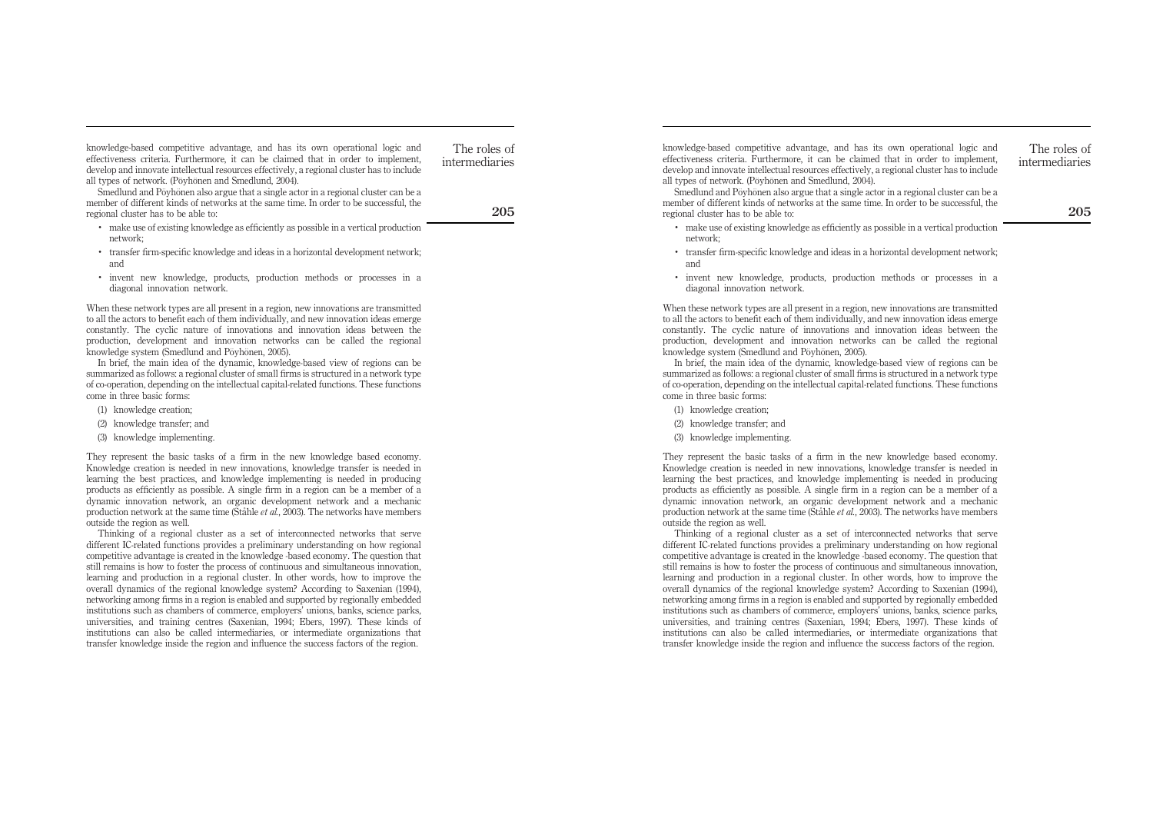knowledge-based competitive advantage, and has its own operational logic and effectiveness criteria. Furthermore, it can be claimed that in order to implement, develop and innovate intellectual resources effectively, a regional cluster has to include all types of network. (Pöyhönen and Smedlund, 2004).

Smedlund and Pöyhönen also argue that a single actor in a regional cluster can be a member of different kinds of networks at the same time. In order to be successful, the regional cluster has to be able to:

- . make use of existing knowledge as efficiently as possible in a vertical production network;
- . transfer firm-specific knowledge and ideas in a horizontal development network; and
- . invent new knowledge, products, production methods or processes in a diagonal innovation network.

When these network types are all present in a region, new innovations are transmitted to all the actors to benefit each of them individually, and new innovation ideas emerge constantly. The cyclic nature of innovations and innovation ideas between the production, development and innovation networks can be called the regional knowledge system (Smedlund and Pöyhönen, 2005).

In brief, the main idea of the dynamic, knowledge-based view of regions can be summarized as follows: a regional cluster of small firms is structured in a network type of co-operation, depending on the intellectual capital-related functions. These functions come in three basic forms:

- (1) knowledge creation;
- (2) knowledge transfer; and
- (3) knowledge implementing.

They represent the basic tasks of a firm in the new knowledge based economy. Knowledge creation is needed in new innovations, knowledge transfer is needed in learning the best practices, and knowledge implementing is needed in producing products as efficiently as possible. A single firm in a region can be a member of a dynamic innovation network, an organic development network and a mechanic production network at the same time (Ståhle et al., 2003). The networks have members outside the region as well.

Thinking of a regional cluster as a set of interconnected networks that serve different IC-related functions provides a preliminary understanding on how regional competitive advantage is created in the knowledge -based economy. The question that still remains is how to foster the process of continuous and simultaneous innovation, learning and production in a regional cluster. In other words, how to improve the overall dynamics of the regional knowledge system? According to Saxenian (1994), networking among firms in a region is enabled and supported by regionally embedded institutions such as chambers of commerce, employers' unions, banks, science parks, universities, and training centres (Saxenian, 1994; Ebers, 1997). These kinds of institutions can also be called intermediaries, or intermediate organizations that transfer knowledge inside the region and influence the success factors of the region.

The roles of intermediaries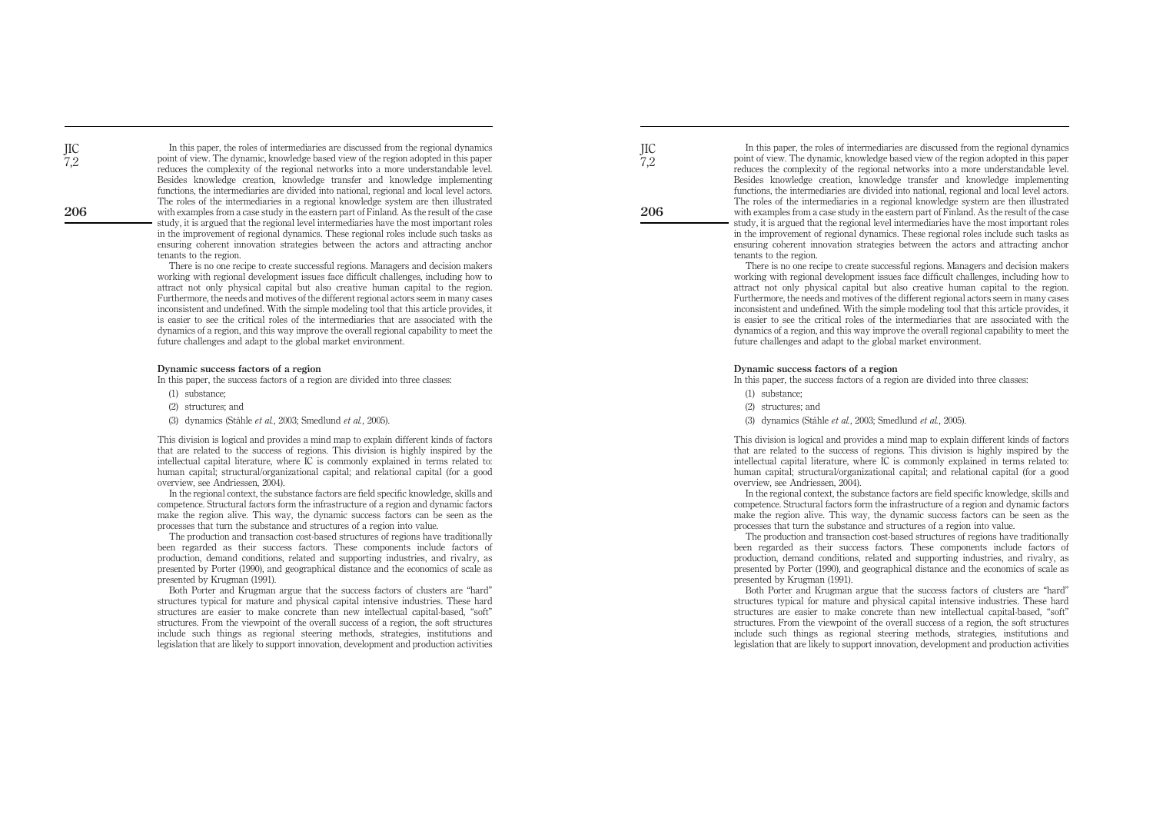In this paper, the roles of intermediaries are discussed from the regional dynamics point of view. The dynamic, knowledge based view of the region adopted in this paper reduces the complexity of the regional networks into a more understandable level. Besides knowledge creation, knowledge transfer and knowledge implementing functions, the intermediaries are divided into national, regional and local level actors. The roles of the intermediaries in a regional knowledge system are then illustrated with examples from a case study in the eastern part of Finland. As the result of the case study, it is argued that the regional level intermediaries have the most important roles in the improvement of regional dynamics. These regional roles include such tasks as ensuring coherent innovation strategies between the actors and attracting anchor tenants to the region.

There is no one recipe to create successful regions. Managers and decision makers working with regional development issues face difficult challenges, including how to attract not only physical capital but also creative human capital to the region. Furthermore, the needs and motives of the different regional actors seem in many cases inconsistent and undefined. With the simple modeling tool that this article provides, it is easier to see the critical roles of the intermediaries that are associated with the dynamics of a region, and this way improve the overall regional capability to meet the future challenges and adapt to the global market environment.

#### Dynamic success factors of a region

In this paper, the success factors of a region are divided into three classes:

- (1) substance;
- (2) structures; and
- (3) dynamics (Ståhle et al., 2003; Smedlund et al., 2005).

This division is logical and provides a mind map to explain different kinds of factors that are related to the success of regions. This division is highly inspired by the intellectual capital literature, where IC is commonly explained in terms related to: human capital; structural/organizational capital; and relational capital (for a good overview, see Andriessen, 2004).

In the regional context, the substance factors are field specific knowledge, skills and competence. Structural factors form the infrastructure of a region and dynamic factors make the region alive. This way, the dynamic success factors can be seen as the processes that turn the substance and structures of a region into value.

The production and transaction cost-based structures of regions have traditionally been regarded as their success factors. These components include factors of production, demand conditions, related and supporting industries, and rivalry, as presented by Porter (1990), and geographical distance and the economics of scale as presented by Krugman (1991).

Both Porter and Krugman argue that the success factors of clusters are "hard" structures typical for mature and physical capital intensive industries. These hard structures are easier to make concrete than new intellectual capital-based, "soft" structures. From the viewpoint of the overall success of a region, the soft structures include such things as regional steering methods, strategies, institutions and legislation that are likely to support innovation, development and production activities

206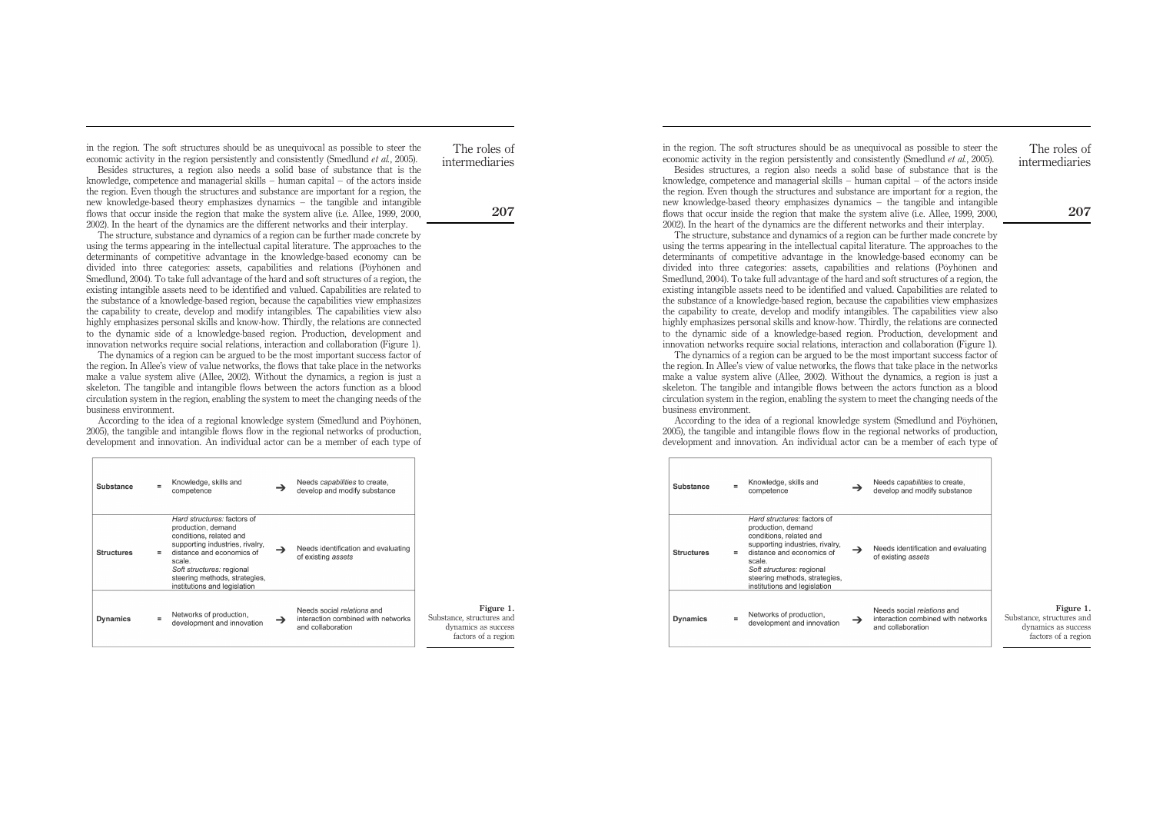in the region. The soft structures should be as unequivocal as possible to steer the economic activity in the region persistently and consistently (Smedlund *et al.*, 2005).

Besides structures, a region also needs a solid base of substance that is the knowledge, competence and managerial skills – human capital – of the actors inside the region. Even though the structures and substance are important for a region, the new knowledge-based theory emphasizes dynamics – the tangible and intangible flows that occur inside the region that make the system alive (i.e. Allee, 1999, 2000, 2002). In the heart of the dynamics are the different networks and their interplay.

The structure, substance and dynamics of a region can be further made concrete by using the terms appearing in the intellectual capital literature. The approaches to the determinants of competitive advantage in the knowledge-based economy can be divided into three categories: assets, capabilities and relations (Pöyhönen and Smedlund, 2004). To take full advantage of the hard and soft structures of a region, the existing intangible assets need to be identified and valued. Capabilities are related to the substance of a knowledge-based region, because the capabilities view emphasizes the capability to create, develop and modify intangibles. The capabilities view also highly emphasizes personal skills and know-how. Thirdly, the relations are connected to the dynamic side of a knowledge-based region. Production, development and innovation networks require social relations, interaction and collaboration (Figure 1).

The dynamics of a region can be argued to be the most important success factor of the region. In Allee's view of value networks, the flows that take place in the networks make a value system alive (Allee, 2002). Without the dynamics, a region is just a skeleton. The tangible and intangible flows between the actors function as a blood circulation system in the region, enabling the system to meet the changing needs of the business environment.

According to the idea of a regional knowledge system (Smedlund and Pöyhönen, 2005), the tangible and intangible flows flow in the regional networks of production, development and innovation. An individual actor can be a member of each type of

| Substance         | $\equiv$ | Knowledge, skills and<br>competence                                                                                                                                                                                                                  |   | Needs <i>capabilities</i> to create.<br>develop and modify substance                  |
|-------------------|----------|------------------------------------------------------------------------------------------------------------------------------------------------------------------------------------------------------------------------------------------------------|---|---------------------------------------------------------------------------------------|
| <b>Structures</b> | $=$      | Hard structures: factors of<br>production, demand<br>conditions, related and<br>supporting industries, rivalry,<br>distance and economics of<br>scale.<br>Soft structures: regional<br>steering methods, strategies,<br>institutions and legislation |   | Needs identification and evaluating<br>of existing assets                             |
| <b>Dynamics</b>   |          | Networks of production,<br>development and innovation                                                                                                                                                                                                | → | Needs social relations and<br>interaction combined with networks<br>and collaboration |

The roles of intermediaries

207

Figure 1.

Substance, structures and dynamics as success factors of a region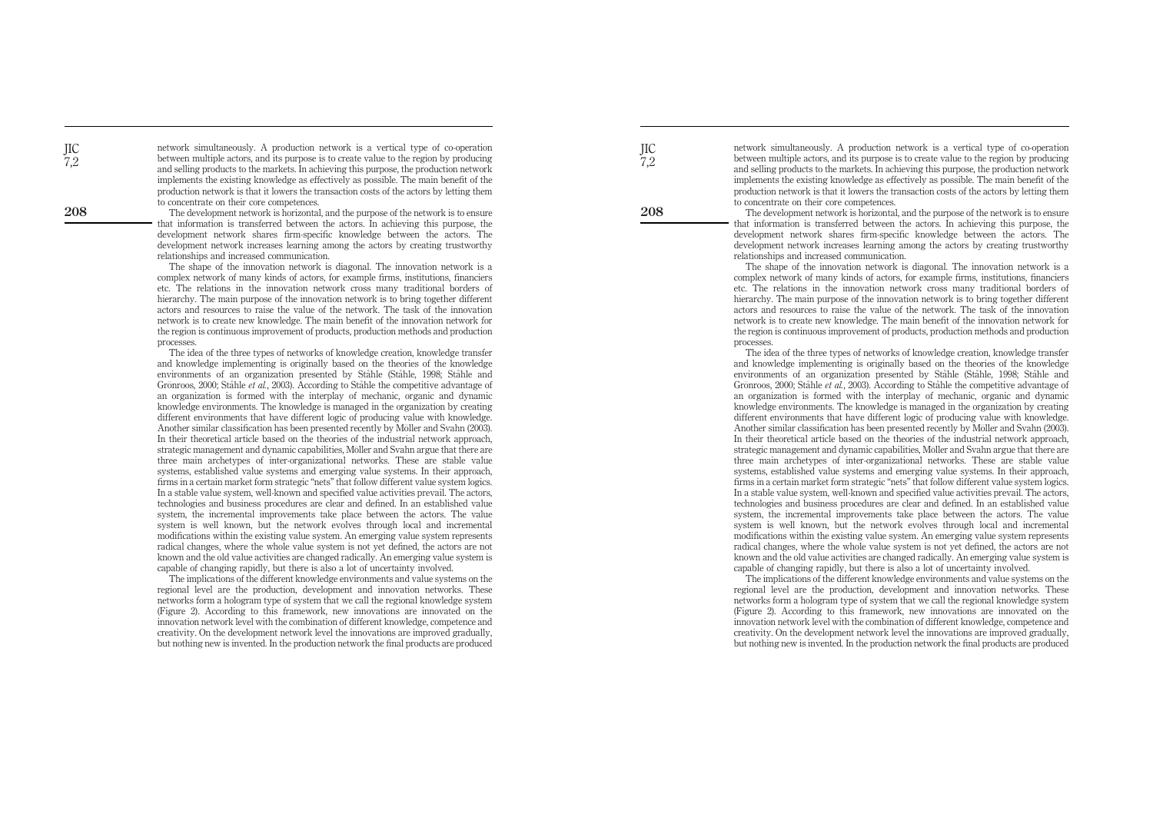network simultaneously. A production network is a vertical type of co-operation between multiple actors, and its purpose is to create value to the region by producing and selling products to the markets. In achieving this purpose, the production network implements the existing knowledge as effectively as possible. The main benefit of the production network is that it lowers the transaction costs of the actors by letting them to concentrate on their core competences.

The development network is horizontal, and the purpose of the network is to ensure that information is transferred between the actors. In achieving this purpose, the development network shares firm-specific knowledge between the actors. The development network increases learning among the actors by creating trustworthy relationships and increased communication.

The shape of the innovation network is diagonal. The innovation network is a complex network of many kinds of actors, for example firms, institutions, financiers etc. The relations in the innovation network cross many traditional borders of hierarchy. The main purpose of the innovation network is to bring together different actors and resources to raise the value of the network. The task of the innovation network is to create new knowledge. The main benefit of the innovation network for the region is continuous improvement of products, production methods and production processes.

The idea of the three types of networks of knowledge creation, knowledge transfer and knowledge implementing is originally based on the theories of the knowledge environments of an organization presented by Ståhle (Ståhle, 1998; Ståhle and Grönroos, 2000; Ståhle *et al.*, 2003). According to Ståhle the competitive advantage of an organization is formed with the interplay of mechanic, organic and dynamic knowledge environments. The knowledge is managed in the organization by creating different environments that have different logic of producing value with knowledge. Another similar classification has been presented recently by Möller and Svahn (2003). In their theoretical article based on the theories of the industrial network approach, strategic management and dynamic capabilities, Möller and Svahn argue that there are three main archetypes of inter-organizational networks. These are stable value systems, established value systems and emerging value systems. In their approach, firms in a certain market form strategic "nets" that follow different value system logics. In a stable value system, well-known and specified value activities prevail. The actors, technologies and business procedures are clear and defined. In an established value system, the incremental improvements take place between the actors. The value system is well known, but the network evolves through local and incremental modifications within the existing value system. An emerging value system represents radical changes, where the whole value system is not yet defined, the actors are not known and the old value activities are changed radically. An emerging value system is capable of changing rapidly, but there is also a lot of uncertainty involved.

The implications of the different knowledge environments and value systems on the regional level are the production, development and innovation networks. These networks form a hologram type of system that we call the regional knowledge system (Figure 2). According to this framework, new innovations are innovated on the innovation network level with the combination of different knowledge, competence and creativity. On the development network level the innovations are improved gradually, but nothing new is invented. In the production network the final products are produced

208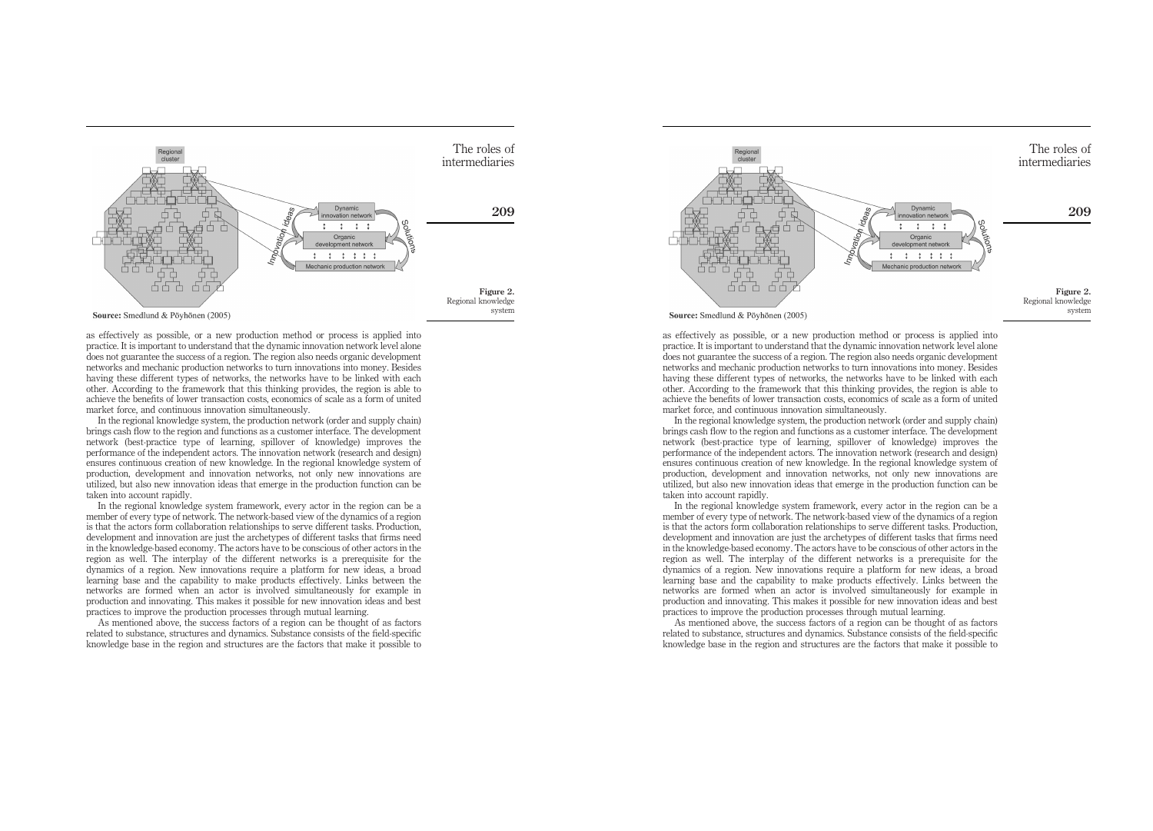

Source: Smedlund & Pöyhönen (2005)

as effectively as possible, or a new production method or process is applied into practice. It is important to understand that the dynamic innovation network level alone does not guarantee the success of a region. The region also needs organic development networks and mechanic production networks to turn innovations into money. Besides having these different types of networks, the networks have to be linked with each other. According to the framework that this thinking provides, the region is able to achieve the benefits of lower transaction costs, economics of scale as a form of united market force, and continuous innovation simultaneously.

In the regional knowledge system, the production network (order and supply chain) brings cash flow to the region and functions as a customer interface. The development network (best-practice type of learning, spillover of knowledge) improves the performance of the independent actors. The innovation network (research and design) ensures continuous creation of new knowledge. In the regional knowledge system of production, development and innovation networks, not only new innovations are utilized, but also new innovation ideas that emerge in the production function can be taken into account rapidly.

In the regional knowledge system framework, every actor in the region can be a member of every type of network. The network-based view of the dynamics of a region is that the actors form collaboration relationships to serve different tasks. Production, development and innovation are just the archetypes of different tasks that firms need in the knowledge-based economy. The actors have to be conscious of other actors in the region as well. The interplay of the different networks is a prerequisite for the dynamics of a region. New innovations require a platform for new ideas, a broad learning base and the capability to make products effectively. Links between the networks are formed when an actor is involved simultaneously for example in production and innovating. This makes it possible for new innovation ideas and best practices to improve the production processes through mutual learning.

As mentioned above, the success factors of a region can be thought of as factors related to substance, structures and dynamics. Substance consists of the field-specific knowledge base in the region and structures are the factors that make it possible to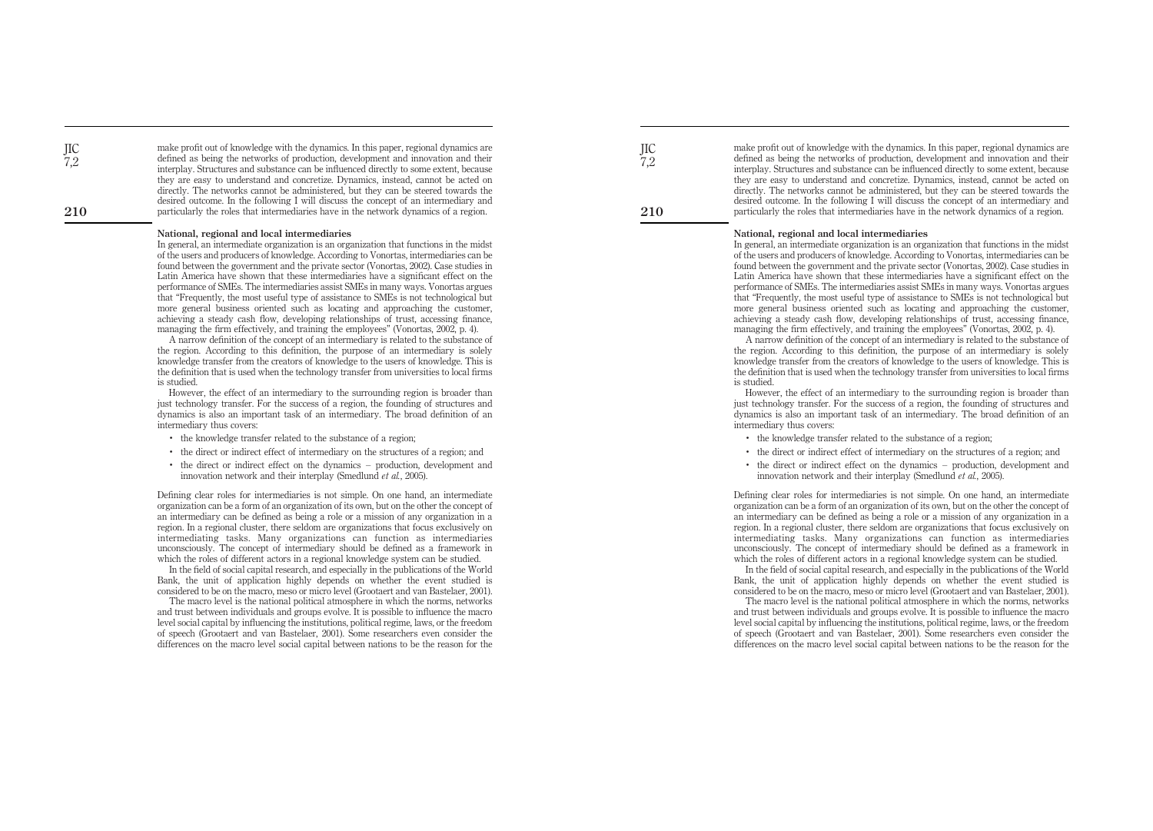make profit out of knowledge with the dynamics. In this paper, regional dynamics are defined as being the networks of production, development and innovation and their interplay. Structures and substance can be influenced directly to some extent, because they are easy to understand and concretize. Dynamics, instead, cannot be acted on directly. The networks cannot be administered, but they can be steered towards the desired outcome. In the following I will discuss the concept of an intermediary and particularly the roles that intermediaries have in the network dynamics of a region.

#### National, regional and local intermediaries

In general, an intermediate organization is an organization that functions in the midst of the users and producers of knowledge. According to Vonortas, intermediaries can be found between the government and the private sector (Vonortas, 2002). Case studies in Latin America have shown that these intermediaries have a significant effect on the performance of SMEs. The intermediaries assist SMEs in many ways. Vonortas argues that "Frequently, the most useful type of assistance to SMEs is not technological but more general business oriented such as locating and approaching the customer, achieving a steady cash flow, developing relationships of trust, accessing finance, managing the firm effectively, and training the employees" (Vonortas, 2002, p. 4).

A narrow definition of the concept of an intermediary is related to the substance of the region. According to this definition, the purpose of an intermediary is solely knowledge transfer from the creators of knowledge to the users of knowledge. This is the definition that is used when the technology transfer from universities to local firms is studied.

However, the effect of an intermediary to the surrounding region is broader than just technology transfer. For the success of a region, the founding of structures and dynamics is also an important task of an intermediary. The broad definition of an intermediary thus covers:

- . the knowledge transfer related to the substance of a region;
- . the direct or indirect effect of intermediary on the structures of a region; and
- . the direct or indirect effect on the dynamics production, development and innovation network and their interplay (Smedlund et al., 2005).

Defining clear roles for intermediaries is not simple. On one hand, an intermediate organization can be a form of an organization of its own, but on the other the concept of an intermediary can be defined as being a role or a mission of any organization in a region. In a regional cluster, there seldom are organizations that focus exclusively on intermediating tasks. Many organizations can function as intermediaries unconsciously. The concept of intermediary should be defined as a framework in which the roles of different actors in a regional knowledge system can be studied.

In the field of social capital research, and especially in the publications of the World Bank, the unit of application highly depends on whether the event studied is considered to be on the macro, meso or micro level (Grootaert and van Bastelaer, 2001).

The macro level is the national political atmosphere in which the norms, networks and trust between individuals and groups evolve. It is possible to influence the macro level social capital by influencing the institutions, political regime, laws, or the freedom of speech (Grootaert and van Bastelaer, 2001). Some researchers even consider the differences on the macro level social capital between nations to be the reason for the

210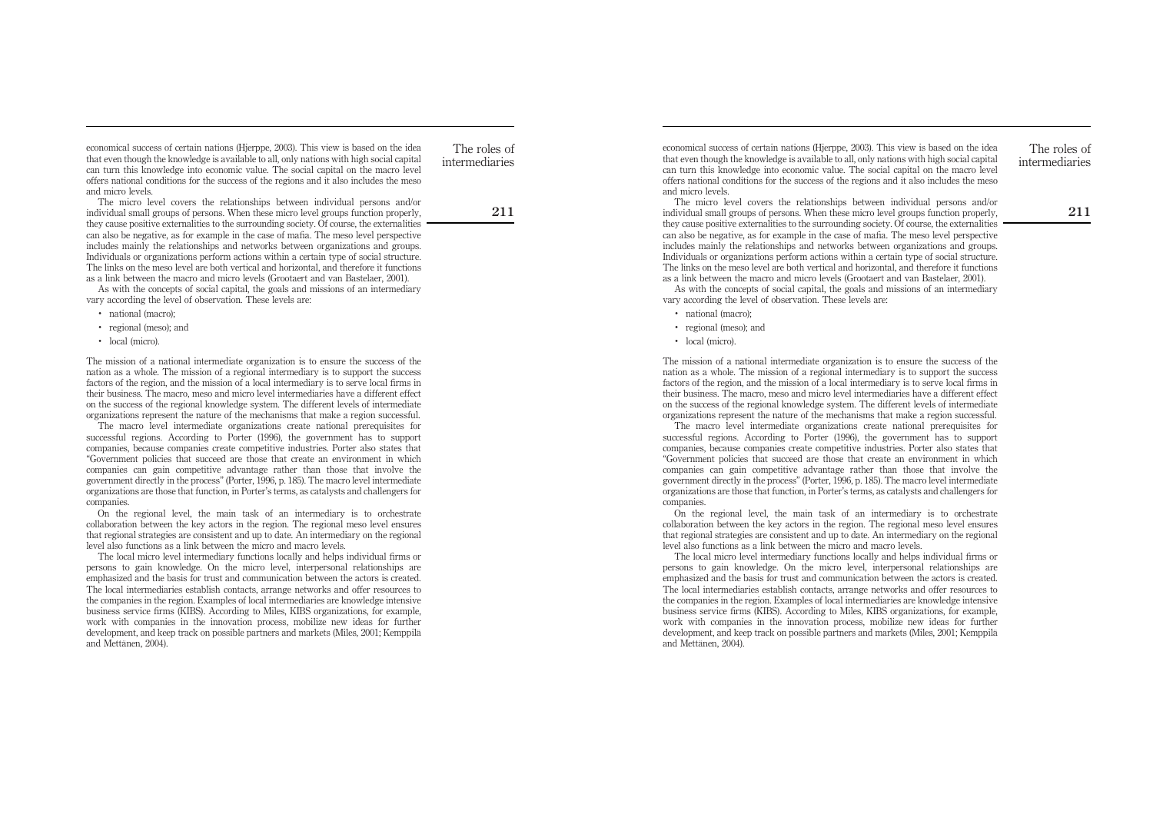economical success of certain nations (Hjerppe, 2003). This view is based on the idea that even though the knowledge is available to all, only nations with high social capital can turn this knowledge into economic value. The social capital on the macro level offers national conditions for the success of the regions and it also includes the meso and micro levels.

The micro level covers the relationships between individual persons and/or individual small groups of persons. When these micro level groups function properly, they cause positive externalities to the surrounding society. Of course, the externalities can also be negative, as for example in the case of mafia. The meso level perspective includes mainly the relationships and networks between organizations and groups. Individuals or organizations perform actions within a certain type of social structure. The links on the meso level are both vertical and horizontal, and therefore it functions as a link between the macro and micro levels (Grootaert and van Bastelaer, 2001).

As with the concepts of social capital, the goals and missions of an intermediary vary according the level of observation. These levels are:

- . national (macro);
- . regional (meso); and
- . local (micro).

The mission of a national intermediate organization is to ensure the success of the nation as a whole. The mission of a regional intermediary is to support the success factors of the region, and the mission of a local intermediary is to serve local firms in their business. The macro, meso and micro level intermediaries have a different effect on the success of the regional knowledge system. The different levels of intermediate organizations represent the nature of the mechanisms that make a region successful.

The macro level intermediate organizations create national prerequisites for successful regions. According to Porter (1996), the government has to support companies, because companies create competitive industries. Porter also states that "Government policies that succeed are those that create an environment in which companies can gain competitive advantage rather than those that involve the government directly in the process" (Porter, 1996, p. 185). The macro level intermediate organizations are those that function, in Porter's terms, as catalysts and challengers for companies.

On the regional level, the main task of an intermediary is to orchestrate collaboration between the key actors in the region. The regional meso level ensures that regional strategies are consistent and up to date. An intermediary on the regional level also functions as a link between the micro and macro levels.

The local micro level intermediary functions locally and helps individual firms or persons to gain knowledge. On the micro level, interpersonal relationships are emphasized and the basis for trust and communication between the actors is created. The local intermediaries establish contacts, arrange networks and offer resources to the companies in the region. Examples of local intermediaries are knowledge intensive business service firms (KIBS). According to Miles, KIBS organizations, for example, work with companies in the innovation process, mobilize new ideas for further development, and keep track on possible partners and markets (Miles, 2001; Kemppila¨ and Mettänen, 2004).

The roles of intermediaries

211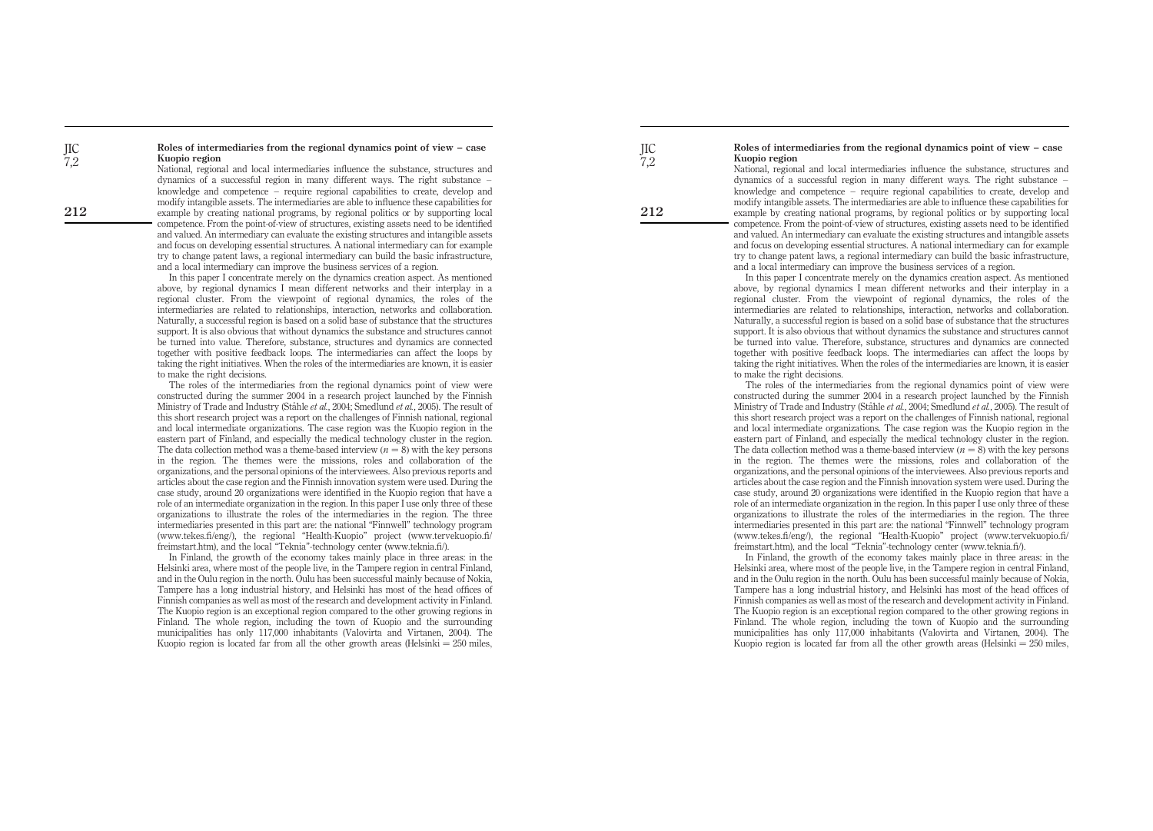## Roles of intermediaries from the regional dynamics point of view – case Kuopio region

National, regional and local intermediaries influence the substance, structures and dynamics of a successful region in many different ways. The right substance – knowledge and competence – require regional capabilities to create, develop and modify intangible assets. The intermediaries are able to influence these capabilities for example by creating national programs, by regional politics or by supporting local competence. From the point-of-view of structures, existing assets need to be identified and valued. An intermediary can evaluate the existing structures and intangible assets and focus on developing essential structures. A national intermediary can for example try to change patent laws, a regional intermediary can build the basic infrastructure, and a local intermediary can improve the business services of a region.

In this paper I concentrate merely on the dynamics creation aspect. As mentioned above, by regional dynamics I mean different networks and their interplay in a regional cluster. From the viewpoint of regional dynamics, the roles of the intermediaries are related to relationships, interaction, networks and collaboration. Naturally, a successful region is based on a solid base of substance that the structures support. It is also obvious that without dynamics the substance and structures cannot be turned into value. Therefore, substance, structures and dynamics are connected together with positive feedback loops. The intermediaries can affect the loops by taking the right initiatives. When the roles of the intermediaries are known, it is easier to make the right decisions.

The roles of the intermediaries from the regional dynamics point of view were constructed during the summer 2004 in a research project launched by the Finnish Ministry of Trade and Industry (Ståhle et al., 2004; Smedlund et al., 2005). The result of this short research project was a report on the challenges of Finnish national, regional and local intermediate organizations. The case region was the Kuopio region in the eastern part of Finland, and especially the medical technology cluster in the region. The data collection method was a theme-based interview  $(n = 8)$  with the key persons in the region. The themes were the missions, roles and collaboration of the organizations, and the personal opinions of the interviewees. Also previous reports and articles about the case region and the Finnish innovation system were used. During the case study, around 20 organizations were identified in the Kuopio region that have a role of an intermediate organization in the region. In this paper I use only three of these organizations to illustrate the roles of the intermediaries in the region. The three intermediaries presented in this part are: the national "Finnwell" technology program (www.tekes.fi/eng/), the regional "Health-Kuopio" project (www.tervekuopio.fi/ freimstart.htm), and the local "Teknia"-technology center (www.teknia.fi/).

In Finland, the growth of the economy takes mainly place in three areas: in the Helsinki area, where most of the people live, in the Tampere region in central Finland, and in the Oulu region in the north. Oulu has been successful mainly because of Nokia, Tampere has a long industrial history, and Helsinki has most of the head offices of Finnish companies as well as most of the research and development activity in Finland. The Kuopio region is an exceptional region compared to the other growing regions in Finland. The whole region, including the town of Kuopio and the surrounding municipalities has only 117,000 inhabitants (Valovirta and Virtanen, 2004). The Kuopio region is located far from all the other growth areas (Helsinki  $=$  250 miles,

212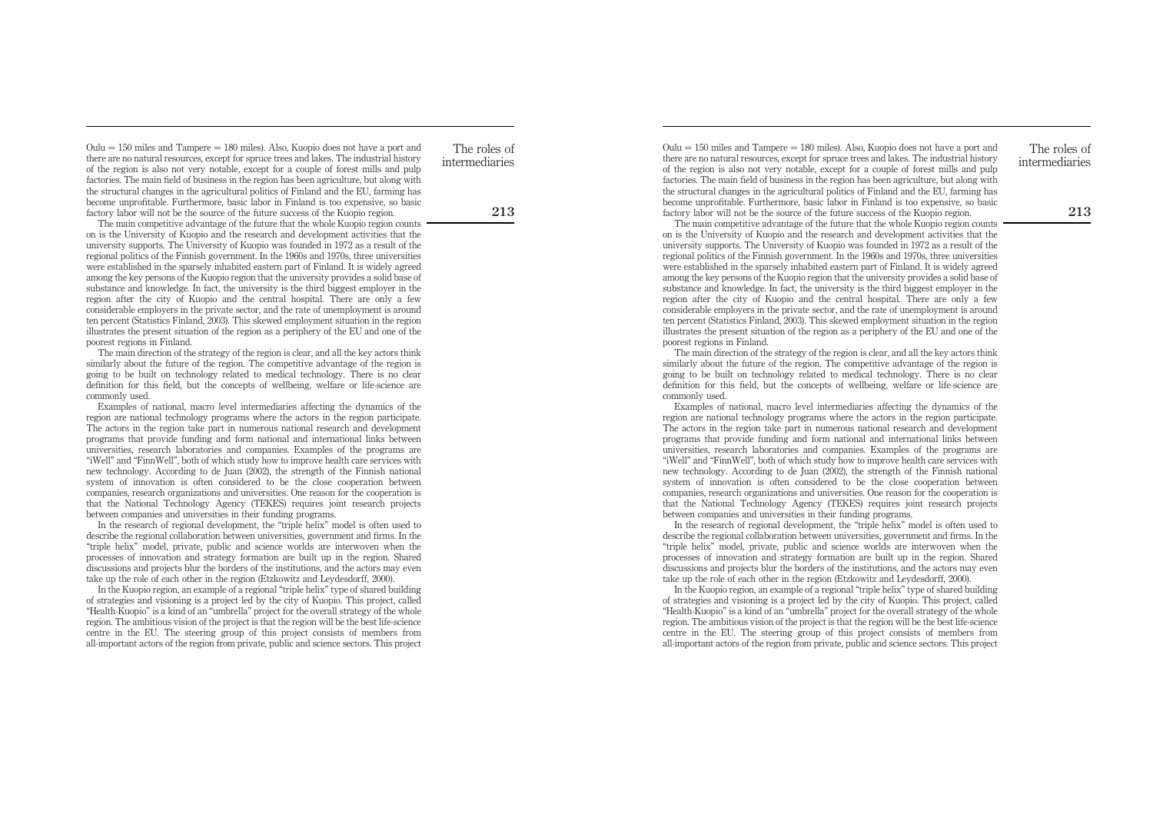$Oulu = 150$  miles and Tampere  $= 180$  miles). Also, Kuopio does not have a port and there are no natural resources, except for spruce trees and lakes. The industrial history of the region is also not very notable, except for a couple of forest mills and pulp factories. The main field of business in the region has been agriculture, but along with the structural changes in the agricultural politics of Finland and the EU, farming has become unprofitable. Furthermore, basic labor in Finland is too expensive, so basic factory labor will not be the source of the future success of the Kuopio region.

The main competitive advantage of the future that the whole Kuopio region counts on is the University of Kuopio and the research and development activities that the university supports. The University of Kuopio was founded in 1972 as a result of the regional politics of the Finnish government. In the 1960s and 1970s, three universities were established in the sparsely inhabited eastern part of Finland. It is widely agreed among the key persons of the Kuopio region that the university provides a solid base of substance and knowledge. In fact, the university is the third biggest employer in the region after the city of Kuopio and the central hospital. There are only a few considerable employers in the private sector, and the rate of unemployment is around ten percent (Statistics Finland, 2003). This skewed employment situation in the region illustrates the present situation of the region as a periphery of the EU and one of the poorest regions in Finland.

The main direction of the strategy of the region is clear, and all the key actors think similarly about the future of the region. The competitive advantage of the region is going to be built on technology related to medical technology. There is no clear definition for this field, but the concepts of wellbeing, welfare or life-science are commonly used.

Examples of national, macro level intermediaries affecting the dynamics of the region are national technology programs where the actors in the region participate. The actors in the region take part in numerous national research and development programs that provide funding and form national and international links between universities, research laboratories and companies. Examples of the programs are "iWell" and "FinnWell", both of which study how to improve health care services with new technology. According to de Juan (2002), the strength of the Finnish national system of innovation is often considered to be the close cooperation between companies, research organizations and universities. One reason for the cooperation is that the National Technology Agency (TEKES) requires joint research projects between companies and universities in their funding programs.

In the research of regional development, the "triple helix" model is often used to describe the regional collaboration between universities, government and firms. In the "triple helix" model, private, public and science worlds are interwoven when the processes of innovation and strategy formation are built up in the region. Shared discussions and projects blur the borders of the institutions, and the actors may even take up the role of each other in the region (Etzkowitz and Leydesdorff, 2000).

In the Kuopio region, an example of a regional "triple helix" type of shared building of strategies and visioning is a project led by the city of Kuopio. This project, called "Health-Kuopio" is a kind of an "umbrella" project for the overall strategy of the whole region. The ambitious vision of the project is that the region will be the best life-science centre in the EU. The steering group of this project consists of members from all-important actors of the region from private, public and science sectors. This project

The roles of intermediaries

213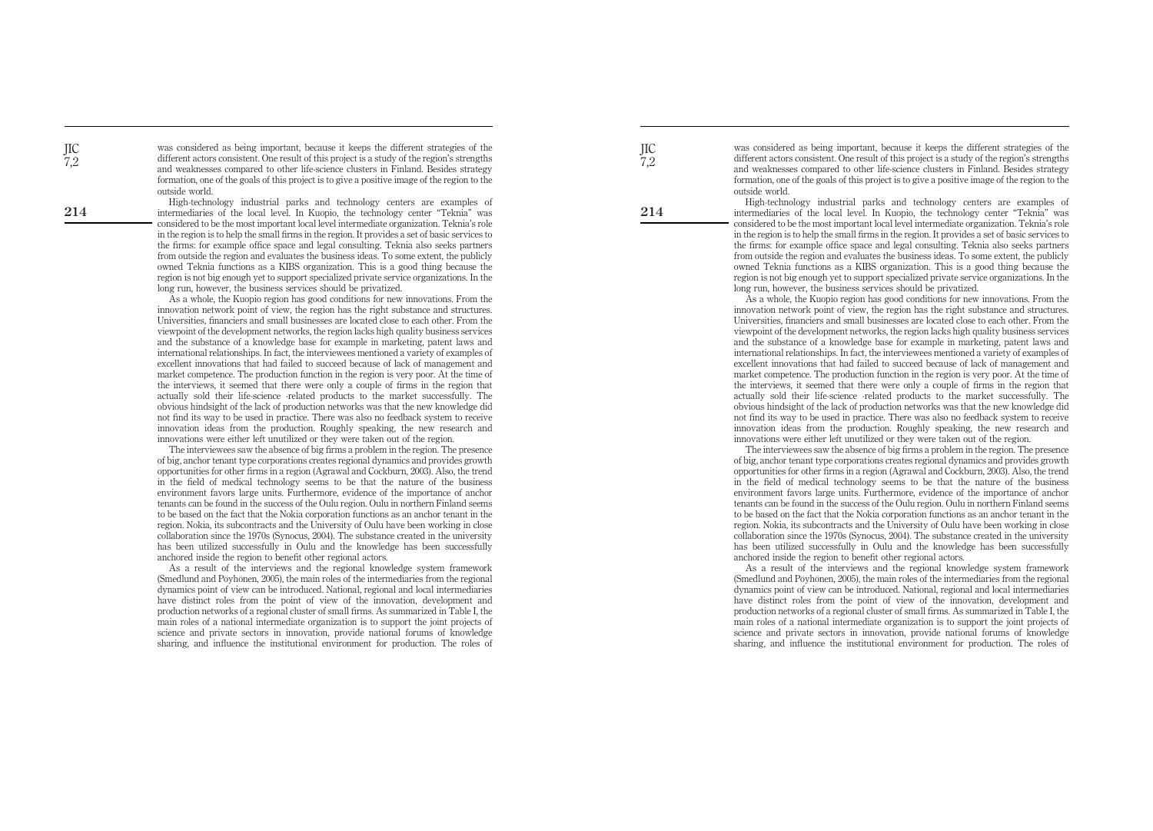was considered as being important, because it keeps the different strategies of the different actors consistent. One result of this project is a study of the region's strengths and weaknesses compared to other life-science clusters in Finland. Besides strategy formation, one of the goals of this project is to give a positive image of the region to the outside world.

High-technology industrial parks and technology centers are examples of intermediaries of the local level. In Kuopio, the technology center "Teknia" was considered to be the most important local level intermediate organization. Teknia's role in the region is to help the small firms in the region. It provides a set of basic services to the firms: for example office space and legal consulting. Teknia also seeks partners from outside the region and evaluates the business ideas. To some extent, the publicly owned Teknia functions as a KIBS organization. This is a good thing because the region is not big enough yet to support specialized private service organizations. In the long run, however, the business services should be privatized.

As a whole, the Kuopio region has good conditions for new innovations. From the innovation network point of view, the region has the right substance and structures. Universities, financiers and small businesses are located close to each other. From the viewpoint of the development networks, the region lacks high quality business services and the substance of a knowledge base for example in marketing, patent laws and international relationships. In fact, the interviewees mentioned a variety of examples of excellent innovations that had failed to succeed because of lack of management and market competence. The production function in the region is very poor. At the time of the interviews, it seemed that there were only a couple of firms in the region that actually sold their life-science -related products to the market successfully. The obvious hindsight of the lack of production networks was that the new knowledge did not find its way to be used in practice. There was also no feedback system to receive innovation ideas from the production. Roughly speaking, the new research and innovations were either left unutilized or they were taken out of the region.

The interviewees saw the absence of big firms a problem in the region. The presence of big, anchor tenant type corporations creates regional dynamics and provides growth opportunities for other firms in a region (Agrawal and Cockburn, 2003). Also, the trend in the field of medical technology seems to be that the nature of the business environment favors large units. Furthermore, evidence of the importance of anchor tenants can be found in the success of the Oulu region. Oulu in northern Finland seems to be based on the fact that the Nokia corporation functions as an anchor tenant in the region. Nokia, its subcontracts and the University of Oulu have been working in close collaboration since the 1970s (Synocus, 2004). The substance created in the university has been utilized successfully in Oulu and the knowledge has been successfully anchored inside the region to benefit other regional actors.

As a result of the interviews and the regional knowledge system framework (Smedlund and Pöyhönen, 2005), the main roles of the intermediaries from the regional dynamics point of view can be introduced. National, regional and local intermediaries have distinct roles from the point of view of the innovation, development and production networks of a regional cluster of small firms. As summarized in Table I, the main roles of a national intermediate organization is to support the joint projects of science and private sectors in innovation, provide national forums of knowledge sharing, and influence the institutional environment for production. The roles of

214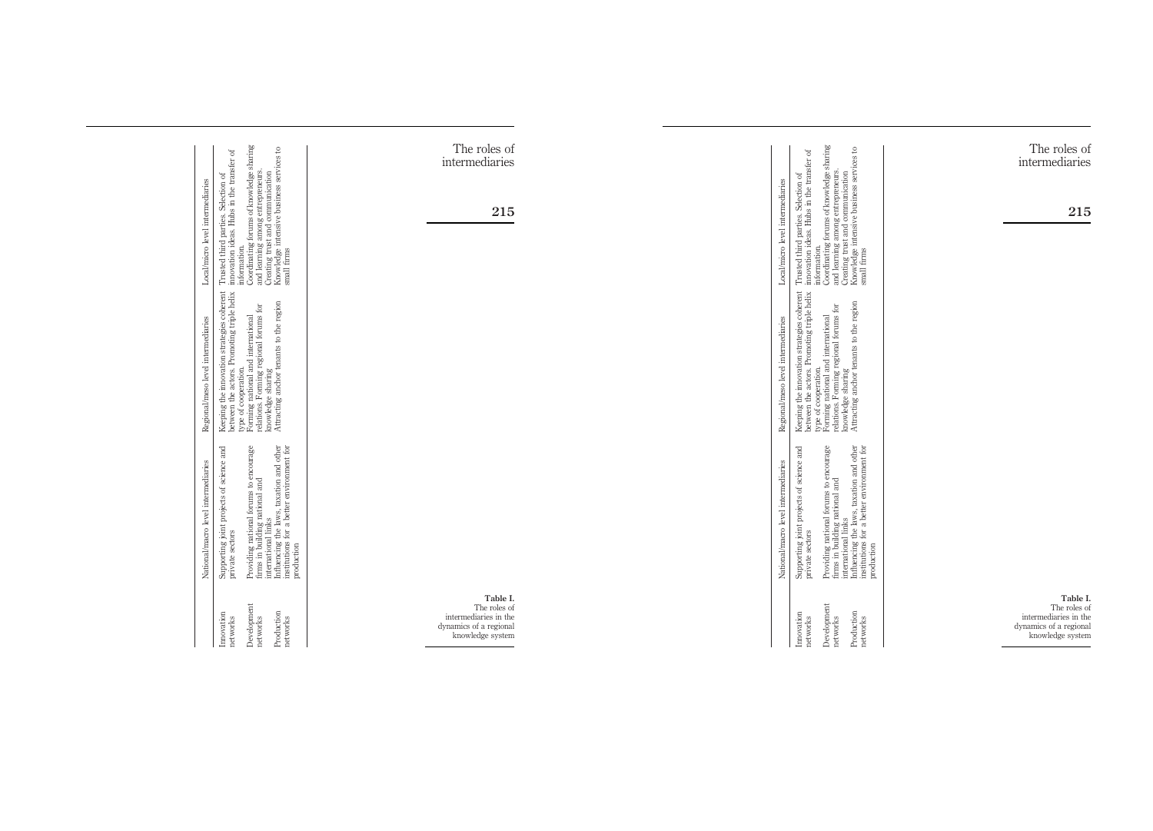| The roles of<br>intermediaries                                                                  |                                                                                                                                                                                                                                                                                  |                                     |
|-------------------------------------------------------------------------------------------------|----------------------------------------------------------------------------------------------------------------------------------------------------------------------------------------------------------------------------------------------------------------------------------|-------------------------------------|
| 215                                                                                             | Coordinating forums of knowledge sharing<br>Knowledge intensive business services to<br>innovation ideas. Hubs in the transfer of<br>and learning among entrepreneurs.<br>Creating trust and communication<br>Trusted third parties. Selection of<br>information.<br>small firms | Local/micro level intermediaries    |
|                                                                                                 | Keeping the innovation strategies coherent<br>between the actors. Promoting triple helix<br>Attracting anchor tenants to the region<br>relations. Forming regional forums for<br>Forming national and international<br>type of cooperation.<br>knowledge sharing                 | Regional/meso level intermediaries  |
|                                                                                                 | Influencing the laws, taxation and other<br>institutions for a better environment for<br>Providing national forums to encourage<br>Supporting joint projects of science and<br>firms in building national and<br>international links<br>private sectors<br>production            | National/macro level intermediaries |
| Table I.<br>The roles of<br>intermediaries in the<br>dynamics of a regional<br>knowledge system | Development<br>Production<br>Innovation<br>networks<br>networks<br>networks                                                                                                                                                                                                      |                                     |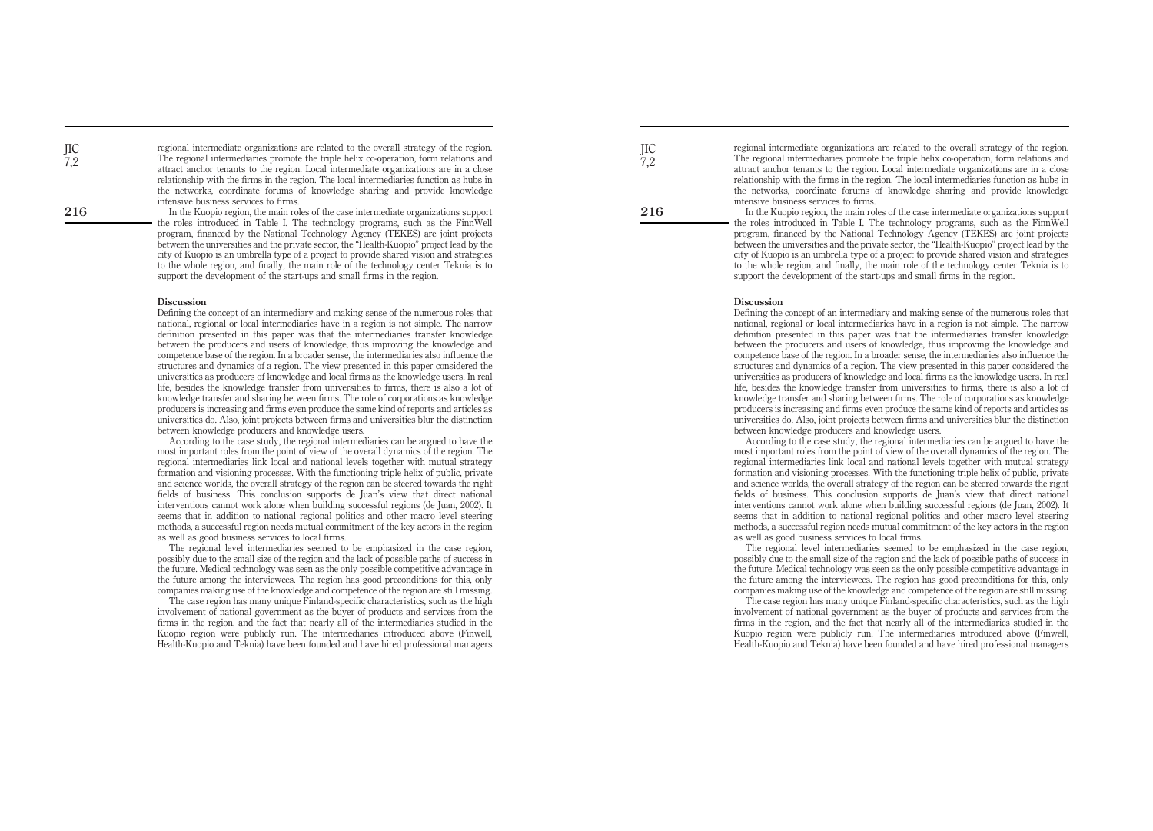regional intermediate organizations are related to the overall strategy of the region. The regional intermediaries promote the triple helix co-operation, form relations and attract anchor tenants to the region. Local intermediate organizations are in a close relationship with the firms in the region. The local intermediaries function as hubs in the networks, coordinate forums of knowledge sharing and provide knowledge intensive business services to firms.

In the Kuopio region, the main roles of the case intermediate organizations support the roles introduced in Table I. The technology programs, such as the FinnWell program, financed by the National Technology Agency (TEKES) are joint projects between the universities and the private sector, the "Health-Kuopio" project lead by the city of Kuopio is an umbrella type of a project to provide shared vision and strategies to the whole region, and finally, the main role of the technology center Teknia is to support the development of the start-ups and small firms in the region.

### **Discussion**

Defining the concept of an intermediary and making sense of the numerous roles that national, regional or local intermediaries have in a region is not simple. The narrow definition presented in this paper was that the intermediaries transfer knowledge between the producers and users of knowledge, thus improving the knowledge and competence base of the region. In a broader sense, the intermediaries also influence the structures and dynamics of a region. The view presented in this paper considered the universities as producers of knowledge and local firms as the knowledge users. In real life, besides the knowledge transfer from universities to firms, there is also a lot of knowledge transfer and sharing between firms. The role of corporations as knowledge producers is increasing and firms even produce the same kind of reports and articles as universities do. Also, joint projects between firms and universities blur the distinction between knowledge producers and knowledge users.

According to the case study, the regional intermediaries can be argued to have the most important roles from the point of view of the overall dynamics of the region. The regional intermediaries link local and national levels together with mutual strategy formation and visioning processes. With the functioning triple helix of public, private and science worlds, the overall strategy of the region can be steered towards the right fields of business. This conclusion supports de Juan's view that direct national interventions cannot work alone when building successful regions (de Juan, 2002). It seems that in addition to national regional politics and other macro level steering methods, a successful region needs mutual commitment of the key actors in the region as well as good business services to local firms.

The regional level intermediaries seemed to be emphasized in the case region, possibly due to the small size of the region and the lack of possible paths of success in the future. Medical technology was seen as the only possible competitive advantage in the future among the interviewees. The region has good preconditions for this, only companies making use of the knowledge and competence of the region are still missing.

The case region has many unique Finland-specific characteristics, such as the high involvement of national government as the buyer of products and services from the firms in the region, and the fact that nearly all of the intermediaries studied in the Kuopio region were publicly run. The intermediaries introduced above (Finwell, Health-Kuopio and Teknia) have been founded and have hired professional managers

216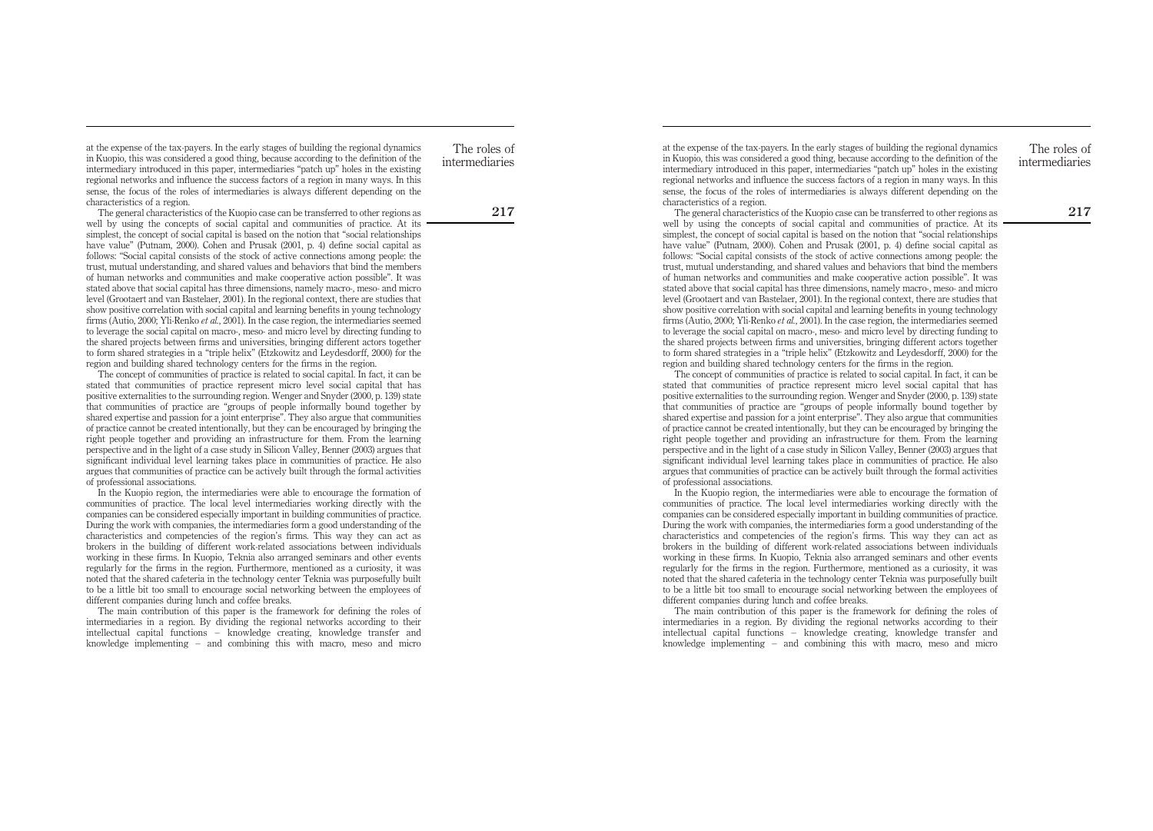at the expense of the tax-payers. In the early stages of building the regional dynamics in Kuopio, this was considered a good thing, because according to the definition of the intermediary introduced in this paper, intermediaries "patch up" holes in the existing regional networks and influence the success factors of a region in many ways. In this sense, the focus of the roles of intermediaries is always different depending on the characteristics of a region.

The general characteristics of the Kuopio case can be transferred to other regions as well by using the concepts of social capital and communities of practice. At its simplest, the concept of social capital is based on the notion that "social relationships have value" (Putnam, 2000). Cohen and Prusak (2001, p. 4) define social capital as follows: "Social capital consists of the stock of active connections among people: the trust, mutual understanding, and shared values and behaviors that bind the members of human networks and communities and make cooperative action possible". It was stated above that social capital has three dimensions, namely macro-, meso- and micro level (Grootaert and van Bastelaer, 2001). In the regional context, there are studies that show positive correlation with social capital and learning benefits in young technology firms (Autio, 2000; Yli-Renko et al., 2001). In the case region, the intermediaries seemed to leverage the social capital on macro-, meso- and micro level by directing funding to the shared projects between firms and universities, bringing different actors together to form shared strategies in a "triple helix" (Etzkowitz and Leydesdorff, 2000) for the region and building shared technology centers for the firms in the region.

The concept of communities of practice is related to social capital. In fact, it can be stated that communities of practice represent micro level social capital that has positive externalities to the surrounding region. Wenger and Snyder (2000, p. 139) state that communities of practice are "groups of people informally bound together by shared expertise and passion for a joint enterprise". They also argue that communities of practice cannot be created intentionally, but they can be encouraged by bringing the right people together and providing an infrastructure for them. From the learning perspective and in the light of a case study in Silicon Valley, Benner (2003) argues that significant individual level learning takes place in communities of practice. He also argues that communities of practice can be actively built through the formal activities of professional associations.

In the Kuopio region, the intermediaries were able to encourage the formation of communities of practice. The local level intermediaries working directly with the companies can be considered especially important in building communities of practice. During the work with companies, the intermediaries form a good understanding of the characteristics and competencies of the region's firms. This way they can act as brokers in the building of different work-related associations between individuals working in these firms. In Kuopio, Teknia also arranged seminars and other events regularly for the firms in the region. Furthermore, mentioned as a curiosity, it was noted that the shared cafeteria in the technology center Teknia was purposefully built to be a little bit too small to encourage social networking between the employees of different companies during lunch and coffee breaks.

The main contribution of this paper is the framework for defining the roles of intermediaries in a region. By dividing the regional networks according to their intellectual capital functions – knowledge creating, knowledge transfer and knowledge implementing – and combining this with macro, meso and micro

The roles of intermediaries

217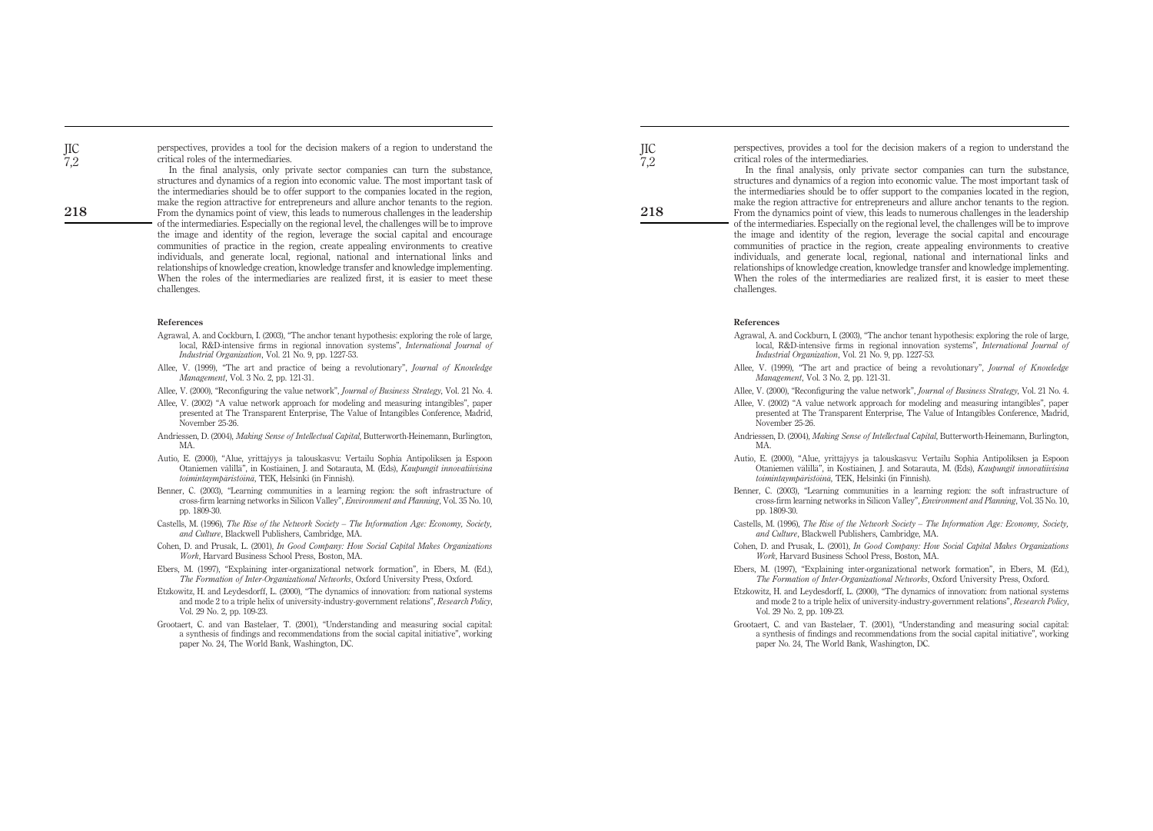perspectives, provides a tool for the decision makers of a region to understand the critical roles of the intermediaries.

In the final analysis, only private sector companies can turn the substance, structures and dynamics of a region into economic value. The most important task of the intermediaries should be to offer support to the companies located in the region, make the region attractive for entrepreneurs and allure anchor tenants to the region. From the dynamics point of view, this leads to numerous challenges in the leadership of the intermediaries. Especially on the regional level, the challenges will be to improve the image and identity of the region, leverage the social capital and encourage communities of practice in the region, create appealing environments to creative individuals, and generate local, regional, national and international links and relationships of knowledge creation, knowledge transfer and knowledge implementing. When the roles of the intermediaries are realized first, it is easier to meet these challenges.

### References

- Agrawal, A. and Cockburn, I. (2003), "The anchor tenant hypothesis: exploring the role of large, local, R&D-intensive firms in regional innovation systems", International Journal of Industrial Organization, Vol. 21 No. 9, pp. 1227-53.
- Allee, V. (1999), "The art and practice of being a revolutionary", Journal of Knowledge Management, Vol. 3 No. 2, pp. 121-31.
- Allee, V. (2000), "Reconfiguring the value network", Journal of Business Strategy, Vol. 21 No. 4.
- Allee, V. (2002) "A value network approach for modeling and measuring intangibles", paper presented at The Transparent Enterprise, The Value of Intangibles Conference, Madrid, November 25-26.
- Andriessen, D. (2004), *Making Sense of Intellectual Capital*, Butterworth-Heinemann, Burlington, MA.
- Autio, E. (2000), "Alue, yrittäjyys ja talouskasvu: Vertailu Sophia Antipoliksen ja Espoon Otaniemen välillä", in Kostiainen, J. and Sotarauta, M. (Eds), Kaupungit innovatiivisina toimintaympäristöinä, TEK, Helsinki (in Finnish).
- Benner, C. (2003), "Learning communities in a learning region: the soft infrastructure of cross-firm learning networks in Silicon Valley", Environment and Planning, Vol. 35 No. 10, pp. 1809-30.
- Castells, M. (1996), The Rise of the Network Society The Information Age: Economy, Society, and Culture, Blackwell Publishers, Cambridge, MA.
- Cohen, D. and Prusak, L. (2001), In Good Company: How Social Capital Makes Organizations Work, Harvard Business School Press, Boston, MA.
- Ebers, M. (1997), "Explaining inter-organizational network formation", in Ebers, M. (Ed.), The Formation of Inter-Organizational Networks, Oxford University Press, Oxford.
- Etzkowitz, H. and Leydesdorff, L. (2000), "The dynamics of innovation: from national systems and mode 2 to a triple helix of university-industry-government relations", Research Policy, Vol. 29 No. 2, pp. 109-23.
- Grootaert, C. and van Bastelaer, T. (2001), "Understanding and measuring social capital: a synthesis of findings and recommendations from the social capital initiative", working paper No. 24, The World Bank, Washington, DC.

218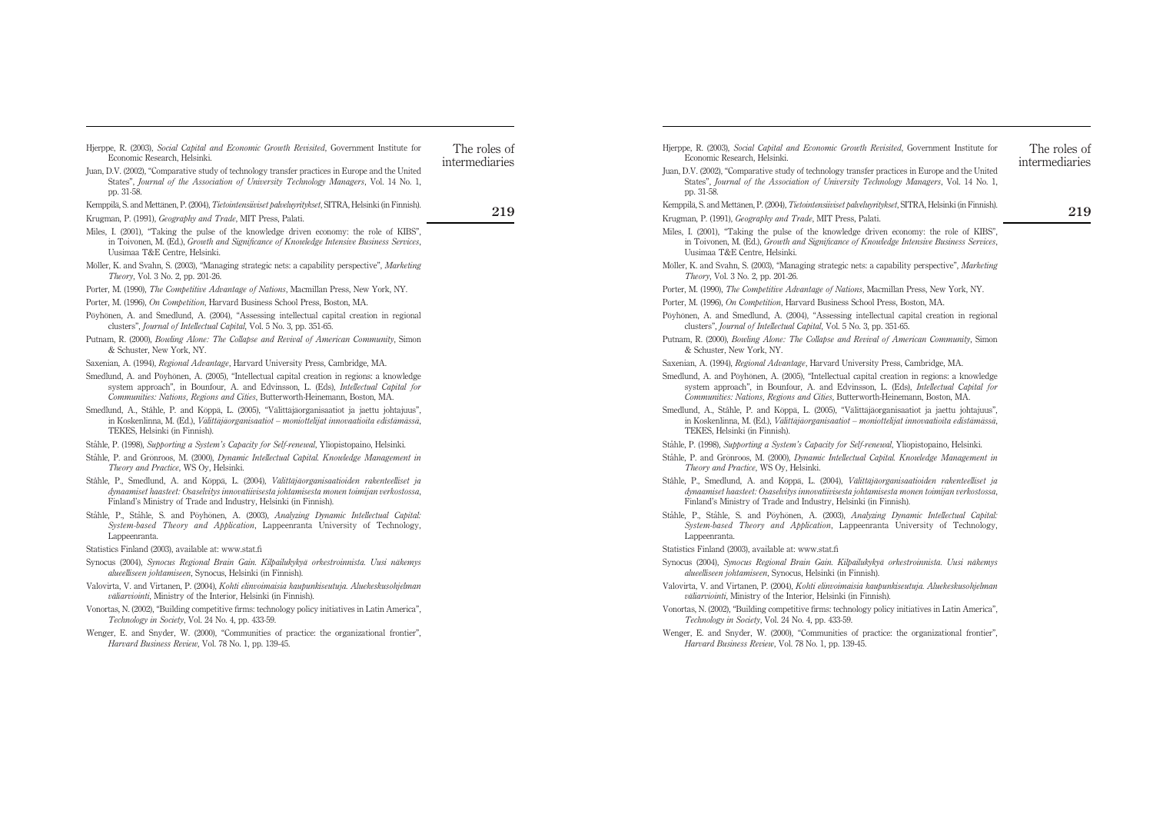| Hjerppe, R. (2003), Social Capital and Economic Growth Revisited, Government Institute for<br>Economic Research, Helsinki.                                                                                                                                          | The roles of<br>intermediaries |
|---------------------------------------------------------------------------------------------------------------------------------------------------------------------------------------------------------------------------------------------------------------------|--------------------------------|
| Juan, D.V. (2002), "Comparative study of technology transfer practices in Europe and the United<br>States", Journal of the Association of University Technology Managers, Vol. 14 No. 1,<br>pp. 31-58.                                                              |                                |
| Kemppilä, S. and Mettänen, P. (2004), Tietointensiiviset palveluvritykset, SITRA, Helsinki (in Finnish).                                                                                                                                                            |                                |
| Krugman, P. (1991), <i>Geography and Trade</i> , MIT Press, Palati.                                                                                                                                                                                                 | 219                            |
| Miles, I. (2001), "Taking the pulse of the knowledge driven economy: the role of KIBS",<br>in Toivonen, M. (Ed.), Growth and Significance of Knowledge Intensive Business Services,<br>Uusimaa T&E Centre, Helsinki.                                                |                                |
| Möller, K. and Svahn, S. (2003), "Managing strategic nets: a capability perspective", <i>Marketing</i><br><i>Theory</i> , Vol. 3 No. 2, pp. 201-26.                                                                                                                 |                                |
| Porter, M. (1990), <i>The Competitive Advantage of Nations</i> , Macmillan Press, New York, NY.                                                                                                                                                                     |                                |
| Porter, M. (1996), On Competition, Harvard Business School Press, Boston, MA.                                                                                                                                                                                       |                                |
| Pöyhönen, A. and Smedlund, A. (2004), "Assessing intellectual capital creation in regional<br>clusters", <i>Journal of Intellectual Capital</i> , Vol. 5 No. 3, pp. 351-65.                                                                                         |                                |
| Putnam, R. (2000), <i>Bowling Alone: The Collapse and Revival of American Community</i> , Simon<br>& Schuster, New York, NY.                                                                                                                                        |                                |
| Saxenian, A. (1994), <i>Regional Advantage</i> , Harvard University Press, Cambridge, MA.                                                                                                                                                                           |                                |
| Smedlund, A. and Pöyhönen, A. (2005), "Intellectual capital creation in regions: a knowledge<br>system approach", in Bounfour, A. and Edvinsson, L. (Eds), Intellectual Capital for<br>Communities: Nations, Regions and Cities, Butterworth-Heinemann, Boston, MA. |                                |
| Smedlund, A., Ståhle, P. and Köppä, L. (2005), "Välittäjäorganisaatiot ja jaettu johtajuus",<br>in Koskenlinna, M. (Ed.), <i>Välittäjäorganisaatiot – moniottelijat innovaatioita edistämässä</i> ,<br>TEKES, Helsinki (in Finnish).                                |                                |
| Ståhle, P. (1998), Supporting a System's Capacity for Self-renewal, Yliopistopaino, Helsinki.                                                                                                                                                                       |                                |
| Ståhle, P. and Grönroos, M. (2000), Dynamic Intellectual Capital. Knowledge Management in<br><i>Theory and Practice, WS Oy, Helsinki.</i>                                                                                                                           |                                |
| Ståhle, P., Smedlund, A. and Köppä, L. (2004), Välittäjäorganisaatioiden rakenteelliset ja<br>dynaamiset haasteet: Osaselvitys innovatiivisesta johtamisesta monen toimijan verkostossa,<br>Finland's Ministry of Trade and Industry, Helsinki (in Finnish).        |                                |
| Ståhle, P., Ståhle, S. and Pöyhönen, A. (2003), Analyzing Dynamic Intellectual Capital:<br>System-based Theory and Application, Lappeenranta University of Technology,<br>Lappeenranta.                                                                             |                                |

- Statistics Finland (2003), available at: www.stat.fi
- Synocus (2004), Synocus Regional Brain Gain. Kilpailukykyä orkestroinnista. Uusi näkemys alueelliseen johtamiseen, Synocus, Helsinki (in Finnish).
- Valovirta, V. and Virtanen, P. (2004), Kohti elinvoimaisia kaupunkiseutuja. Aluekeskusohjelman väliarviointi, Ministry of the Interior, Helsinki (in Finnish).
- Vonortas, N. (2002), "Building competitive firms: technology policy initiatives in Latin America", Technology in Society, Vol. 24 No. 4, pp. 433-59.
- Wenger, E. and Snyder, W. (2000), "Communities of practice: the organizational frontier", Harvard Business Review, Vol. 78 No. 1, pp. 139-45.